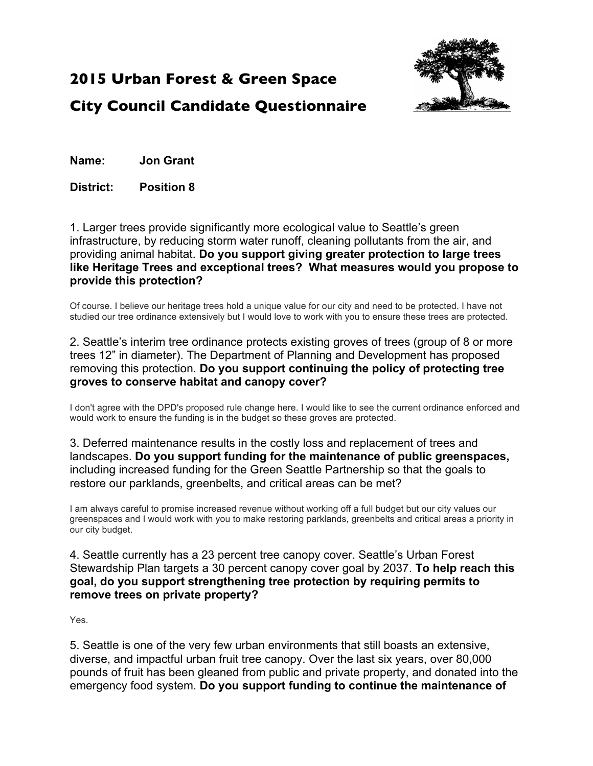

## **2015 Urban Forest & Green Space City Council Candidate Questionnaire**

**Name: Jon Grant**

**District: Position 8**

1. Larger trees provide significantly more ecological value to Seattle's green infrastructure, by reducing storm water runoff, cleaning pollutants from the air, and providing animal habitat. **Do you support giving greater protection to large trees like Heritage Trees and exceptional trees? What measures would you propose to provide this protection?**

Of course. I believe our heritage trees hold a unique value for our city and need to be protected. I have not studied our tree ordinance extensively but I would love to work with you to ensure these trees are protected.

2. Seattle's interim tree ordinance protects existing groves of trees (group of 8 or more trees 12" in diameter). The Department of Planning and Development has proposed removing this protection. **Do you support continuing the policy of protecting tree groves to conserve habitat and canopy cover?**

I don't agree with the DPD's proposed rule change here. I would like to see the current ordinance enforced and would work to ensure the funding is in the budget so these groves are protected.

3. Deferred maintenance results in the costly loss and replacement of trees and landscapes. **Do you support funding for the maintenance of public greenspaces,** including increased funding for the Green Seattle Partnership so that the goals to restore our parklands, greenbelts, and critical areas can be met?

I am always careful to promise increased revenue without working off a full budget but our city values our greenspaces and I would work with you to make restoring parklands, greenbelts and critical areas a priority in our city budget.

4. Seattle currently has a 23 percent tree canopy cover. Seattle's Urban Forest Stewardship Plan targets a 30 percent canopy cover goal by 2037. **To help reach this goal, do you support strengthening tree protection by requiring permits to remove trees on private property?**

Yes.

5. Seattle is one of the very few urban environments that still boasts an extensive, diverse, and impactful urban fruit tree canopy. Over the last six years, over 80,000 pounds of fruit has been gleaned from public and private property, and donated into the emergency food system. **Do you support funding to continue the maintenance of**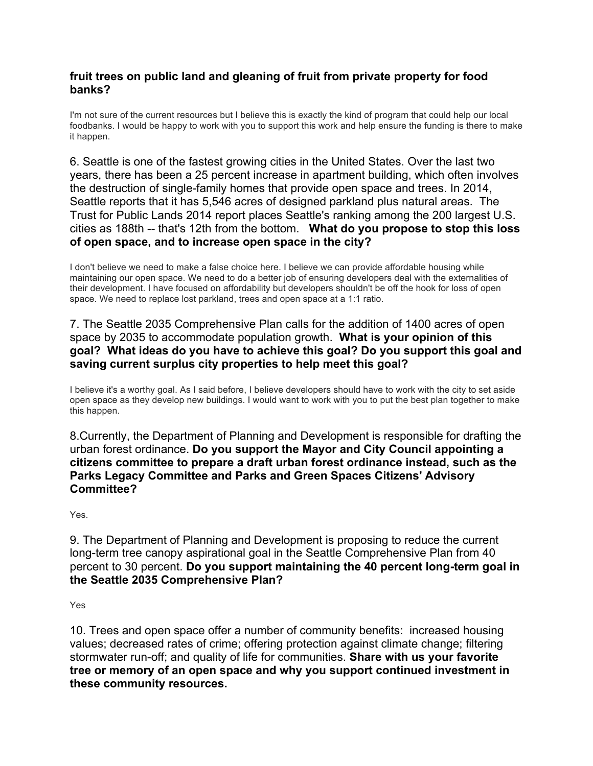## **fruit trees on public land and gleaning of fruit from private property for food banks?**

I'm not sure of the current resources but I believe this is exactly the kind of program that could help our local foodbanks. I would be happy to work with you to support this work and help ensure the funding is there to make it happen.

6. Seattle is one of the fastest growing cities in the United States. Over the last two years, there has been a 25 percent increase in apartment building, which often involves the destruction of single-family homes that provide open space and trees. In 2014, Seattle reports that it has 5,546 acres of designed parkland plus natural areas. The Trust for Public Lands 2014 report places Seattle's ranking among the 200 largest U.S. cities as 188th -- that's 12th from the bottom. **What do you propose to stop this loss of open space, and to increase open space in the city?**

I don't believe we need to make a false choice here. I believe we can provide affordable housing while maintaining our open space. We need to do a better job of ensuring developers deal with the externalities of their development. I have focused on affordability but developers shouldn't be off the hook for loss of open space. We need to replace lost parkland, trees and open space at a 1:1 ratio.

## 7. The Seattle 2035 Comprehensive Plan calls for the addition of 1400 acres of open space by 2035 to accommodate population growth. **What is your opinion of this goal? What ideas do you have to achieve this goal? Do you support this goal and saving current surplus city properties to help meet this goal?**

I believe it's a worthy goal. As I said before, I believe developers should have to work with the city to set aside open space as they develop new buildings. I would want to work with you to put the best plan together to make this happen.

8.Currently, the Department of Planning and Development is responsible for drafting the urban forest ordinance. **Do you support the Mayor and City Council appointing a citizens committee to prepare a draft urban forest ordinance instead, such as the Parks Legacy Committee and Parks and Green Spaces Citizens' Advisory Committee?**

Yes.

9. The Department of Planning and Development is proposing to reduce the current long-term tree canopy aspirational goal in the Seattle Comprehensive Plan from 40 percent to 30 percent. **Do you support maintaining the 40 percent long-term goal in the Seattle 2035 Comprehensive Plan?**

Yes

10. Trees and open space offer a number of community benefits: increased housing values; decreased rates of crime; offering protection against climate change; filtering stormwater run-off; and quality of life for communities. **Share with us your favorite tree or memory of an open space and why you support continued investment in these community resources.**